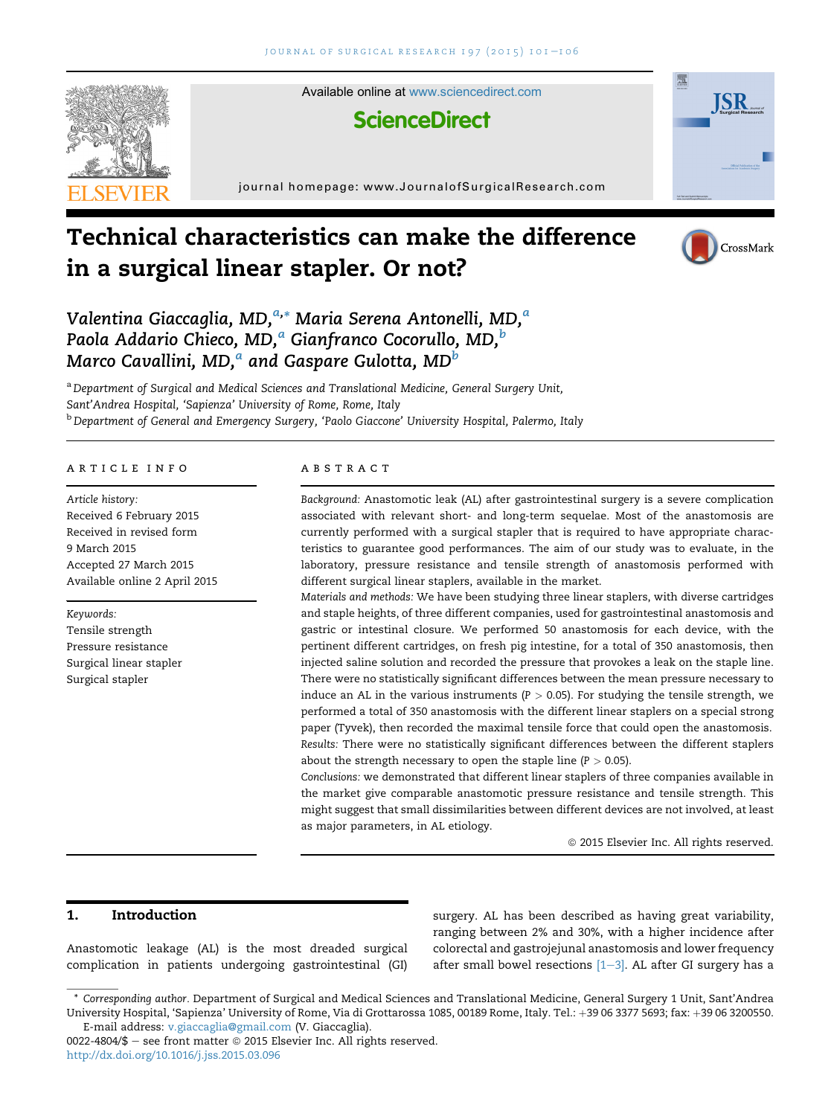

Available online at [www.sciencedirect.com](www.sciencedirect.com/science/journal/00224804)

# **ScienceDirect**

journal homepage: [www.JournalofSurgicalResearch.com](http://www.JournalofSurgicalResearch.com)





**ISR** 



Valentina Giaccaglia, MD,<sup>a,</sup>\* Maria Serena Antonelli, MD,<sup>a</sup> Paola Addario Chieco, MD, $^a$  Gianfranco Cocorullo, MD, $^b$ Marco Cavallini, MD,<sup>a</sup> and Gaspare Gulotta, MD<sup>b</sup>

<sup>a</sup> Department of Surgical and Medical Sciences and Translational Medicine, General Surgery Unit, Sant'Andrea Hospital, 'Sapienza' University of Rome, Rome, Italy <sup>b</sup> Department of General and Emergency Surgery, 'Paolo Giaccone' University Hospital, Palermo, Italy

#### article info

Article history: Received 6 February 2015 Received in revised form 9 March 2015 Accepted 27 March 2015 Available online 2 April 2015

Keywords: Tensile strength Pressure resistance Surgical linear stapler Surgical stapler

# **ABSTRACT**

Background: Anastomotic leak (AL) after gastrointestinal surgery is a severe complication associated with relevant short- and long-term sequelae. Most of the anastomosis are currently performed with a surgical stapler that is required to have appropriate characteristics to guarantee good performances. The aim of our study was to evaluate, in the laboratory, pressure resistance and tensile strength of anastomosis performed with different surgical linear staplers, available in the market.

Materials and methods: We have been studying three linear staplers, with diverse cartridges and staple heights, of three different companies, used for gastrointestinal anastomosis and gastric or intestinal closure. We performed 50 anastomosis for each device, with the pertinent different cartridges, on fresh pig intestine, for a total of 350 anastomosis, then injected saline solution and recorded the pressure that provokes a leak on the staple line. There were no statistically significant differences between the mean pressure necessary to induce an AL in the various instruments ( $P > 0.05$ ). For studying the tensile strength, we performed a total of 350 anastomosis with the different linear staplers on a special strong paper (Tyvek), then recorded the maximal tensile force that could open the anastomosis. Results: There were no statistically significant differences between the different staplers about the strength necessary to open the staple line ( $P > 0.05$ ).

Conclusions: we demonstrated that different linear staplers of three companies available in the market give comparable anastomotic pressure resistance and tensile strength. This might suggest that small dissimilarities between different devices are not involved, at least as major parameters, in AL etiology.

 $@$  2015 Elsevier Inc. All rights reserved.

# 1. Introduction

Anastomotic leakage (AL) is the most dreaded surgical complication in patients undergoing gastrointestinal (GI) surgery. AL has been described as having great variability, ranging between 2% and 30%, with a higher incidence after colorectal and gastrojejunal anastomosis and lower frequency after small bowel resections  $[1-3]$  $[1-3]$  $[1-3]$ . AL after GI surgery has a

<sup>\*</sup> Corresponding author. Department of Surgical and Medical Sciences and Translational Medicine, General Surgery 1 Unit, Sant'Andrea University Hospital, 'Sapienza' University of Rome, Via di Grottarossa 1085, 00189 Rome, Italy. Tel.: +39 06 3377 5693; fax: +39 06 3200550. E-mail address: [v.giaccaglia@gmail.com](mailto:v.giaccaglia@gmail.com) (V. Giaccaglia).

<sup>0022-4804/\$ -</sup> see front matter  $\odot$  2015 Elsevier Inc. All rights reserved. <http://dx.doi.org/10.1016/j.jss.2015.03.096>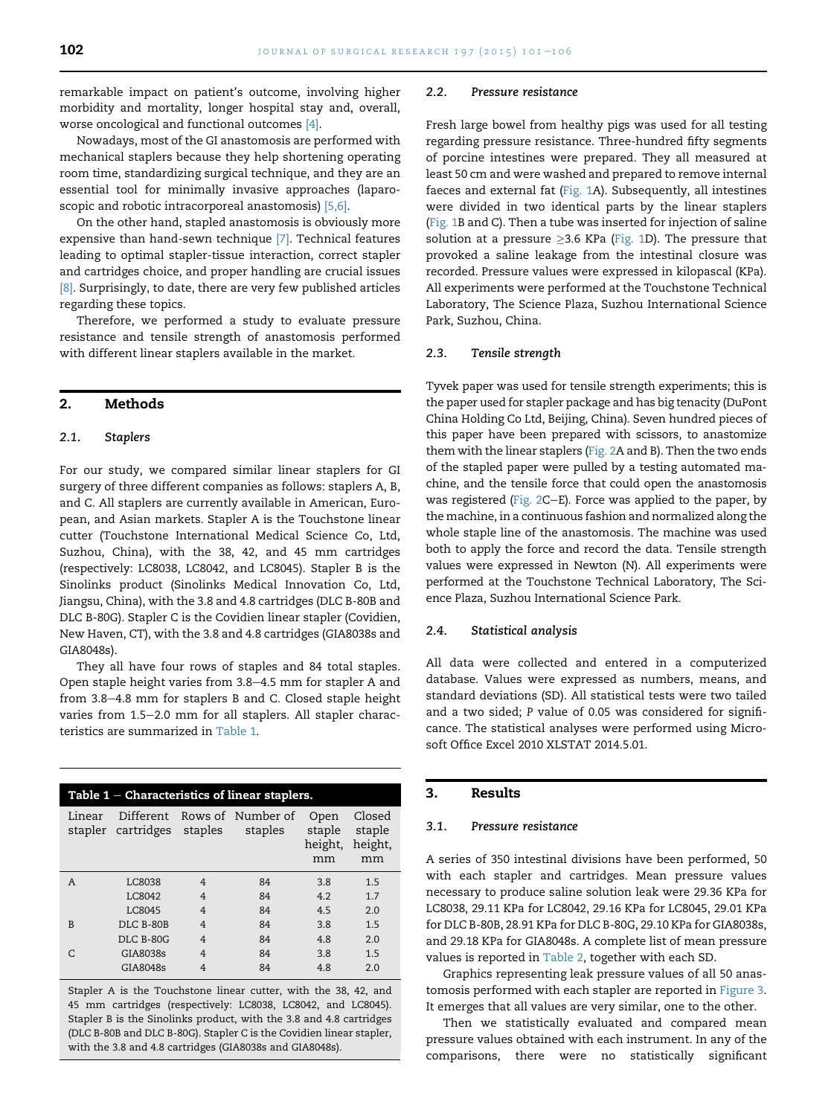remarkable impact on patient's outcome, involving higher morbidity and mortality, longer hospital stay and, overall, worse oncological and functional outcomes [\[4\].](#page-5-0)

Nowadays, most of the GI anastomosis are performed with mechanical staplers because they help shortening operating room time, standardizing surgical technique, and they are an essential tool for minimally invasive approaches (laparoscopic and robotic intracorporeal anastomosis) [\[5,6\].](#page-5-0)

On the other hand, stapled anastomosis is obviously more expensive than hand-sewn technique [\[7\]](#page-5-0). Technical features leading to optimal stapler-tissue interaction, correct stapler and cartridges choice, and proper handling are crucial issues [\[8\]](#page-5-0). Surprisingly, to date, there are very few published articles regarding these topics.

Therefore, we performed a study to evaluate pressure resistance and tensile strength of anastomosis performed with different linear staplers available in the market.

# 2. Methods

#### 2.1. Staplers

For our study, we compared similar linear staplers for GI surgery of three different companies as follows: staplers A, B, and C. All staplers are currently available in American, European, and Asian markets. Stapler A is the Touchstone linear cutter (Touchstone International Medical Science Co, Ltd, Suzhou, China), with the 38, 42, and 45 mm cartridges (respectively: LC8038, LC8042, and LC8045). Stapler B is the Sinolinks product (Sinolinks Medical Innovation Co, Ltd, Jiangsu, China), with the 3.8 and 4.8 cartridges (DLC B-80B and DLC B-80G). Stapler C is the Covidien linear stapler (Covidien, New Haven, CT), with the 3.8 and 4.8 cartridges (GIA8038s and GIA8048s).

They all have four rows of staples and 84 total staples. Open staple height varies from 3.8-4.5 mm for stapler A and from 3.8-4.8 mm for staplers B and C. Closed staple height varies from 1.5-2.0 mm for all staplers. All stapler characteristics are summarized in Table 1.

| Table $1$ – Characteristics of linear staplers. |                            |                |                                        |                                 |                                   |  |  |  |  |
|-------------------------------------------------|----------------------------|----------------|----------------------------------------|---------------------------------|-----------------------------------|--|--|--|--|
| Linear                                          | stapler cartridges staples |                | Different Rows of Number of<br>staples | Open<br>staple<br>height,<br>mm | Closed<br>staple<br>height.<br>mm |  |  |  |  |
| A                                               | LC8038                     | 4              | 84                                     | 3.8                             | 1.5                               |  |  |  |  |
|                                                 | <b>LC8042</b>              | $\overline{4}$ | 84                                     | 4.2                             | 1.7                               |  |  |  |  |
|                                                 | LC8045                     | $\overline{4}$ | 84                                     | 4.5                             | 2.0                               |  |  |  |  |
| B                                               | DLC B-80B                  | $\overline{4}$ | 84                                     | 3.8                             | 1.5                               |  |  |  |  |
|                                                 | <b>DLC B-80G</b>           | $\overline{4}$ | 84                                     | 4.8                             | 2.0                               |  |  |  |  |
| C                                               | GIA8038s                   | $\overline{4}$ | 84                                     | 3.8                             | 1.5                               |  |  |  |  |
|                                                 | GIA8048s                   | $\overline{4}$ | 84                                     | 4.8                             | 2.0                               |  |  |  |  |

Stapler A is the Touchstone linear cutter, with the 38, 42, and 45 mm cartridges (respectively: LC8038, LC8042, and LC8045). Stapler B is the Sinolinks product, with the 3.8 and 4.8 cartridges (DLC B-80B and DLC B-80G). Stapler C is the Covidien linear stapler, with the 3.8 and 4.8 cartridges (GIA8038s and GIA8048s).

#### 2.2. Pressure resistance

Fresh large bowel from healthy pigs was used for all testing regarding pressure resistance. Three-hundred fifty segments of porcine intestines were prepared. They all measured at least 50 cm and were washed and prepared to remove internal faeces and external fat [\(Fig. 1A](#page-2-0)). Subsequently, all intestines were divided in two identical parts by the linear staplers [\(Fig. 1](#page-2-0)B and C). Then a tube was inserted for injection of saline solution at a pressure  $\geq$ 3.6 KPa [\(Fig. 1](#page-2-0)D). The pressure that provoked a saline leakage from the intestinal closure was recorded. Pressure values were expressed in kilopascal (KPa). All experiments were performed at the Touchstone Technical Laboratory, The Science Plaza, Suzhou International Science Park, Suzhou, China.

#### 2.3. Tensile strength

Tyvek paper was used for tensile strength experiments; this is the paper used for stapler package and has big tenacity (DuPont China Holding Co Ltd, Beijing, China). Seven hundred pieces of this paper have been prepared with scissors, to anastomize them with the linear staplers ([Fig. 2](#page-2-0)A and B). Then the two ends of the stapled paper were pulled by a testing automated machine, and the tensile force that could open the anastomosis was registered [\(Fig. 2](#page-2-0)C-E). Force was applied to the paper, by the machine, in a continuous fashion and normalized along the whole staple line of the anastomosis. The machine was used both to apply the force and record the data. Tensile strength values were expressed in Newton (N). All experiments were performed at the Touchstone Technical Laboratory, The Science Plaza, Suzhou International Science Park.

#### 2.4. Statistical analysis

All data were collected and entered in a computerized database. Values were expressed as numbers, means, and standard deviations (SD). All statistical tests were two tailed and a two sided; P value of 0.05 was considered for significance. The statistical analyses were performed using Microsoft Office Excel 2010 XLSTAT 2014.5.01.

## 3. Results

#### 3.1. Pressure resistance

A series of 350 intestinal divisions have been performed, 50 with each stapler and cartridges. Mean pressure values necessary to produce saline solution leak were 29.36 KPa for LC8038, 29.11 KPa for LC8042, 29.16 KPa for LC8045, 29.01 KPa for DLC B-80B, 28.91 KPa for DLC B-80G, 29.10 KPa for GIA8038s, and 29.18 KPa for GIA8048s. A complete list of mean pressure values is reported in [Table 2](#page-3-0), together with each SD.

Graphics representing leak pressure values of all 50 anastomosis performed with each stapler are reported in [Figure 3.](#page-3-0) It emerges that all values are very similar, one to the other.

Then we statistically evaluated and compared mean pressure values obtained with each instrument. In any of the comparisons, there were no statistically significant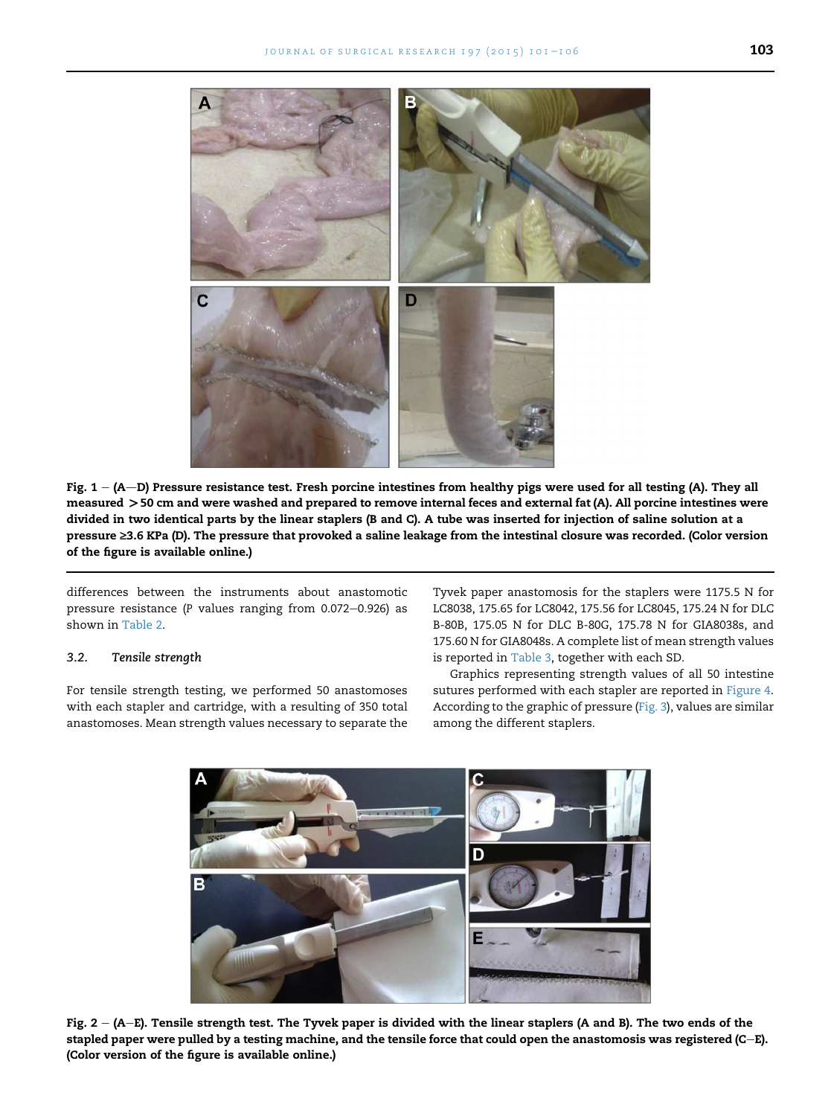<span id="page-2-0"></span>

Fig.  $1 - (A-D)$  Pressure resistance test. Fresh porcine intestines from healthy pigs were used for all testing (A). They all measured >50 cm and were washed and prepared to remove internal feces and external fat (A). All porcine intestines were divided in two identical parts by the linear staplers (B and C). A tube was inserted for injection of saline solution at a pressure ≥3.6 KPa (D). The pressure that provoked a saline leakage from the intestinal closure was recorded. (Color version of the figure is available online.)

differences between the instruments about anastomotic pressure resistance (P values ranging from  $0.072-0.926$ ) as shown in [Table 2.](#page-3-0)

#### 3.2. Tensile strength

For tensile strength testing, we performed 50 anastomoses with each stapler and cartridge, with a resulting of 350 total anastomoses. Mean strength values necessary to separate the Tyvek paper anastomosis for the staplers were 1175.5 N for LC8038, 175.65 for LC8042, 175.56 for LC8045, 175.24 N for DLC B-80B, 175.05 N for DLC B-80G, 175.78 N for GIA8038s, and 175.60 N for GIA8048s. A complete list of mean strength values is reported in [Table 3,](#page-4-0) together with each SD.

Graphics representing strength values of all 50 intestine sutures performed with each stapler are reported in [Figure 4.](#page-4-0) According to the graphic of pressure [\(Fig. 3\)](#page-3-0), values are similar among the different staplers.



Fig.  $2 - (A-E)$ . Tensile strength test. The Tyvek paper is divided with the linear staplers (A and B). The two ends of the stapled paper were pulled by a testing machine, and the tensile force that could open the anastomosis was registered (C-E). (Color version of the figure is available online.)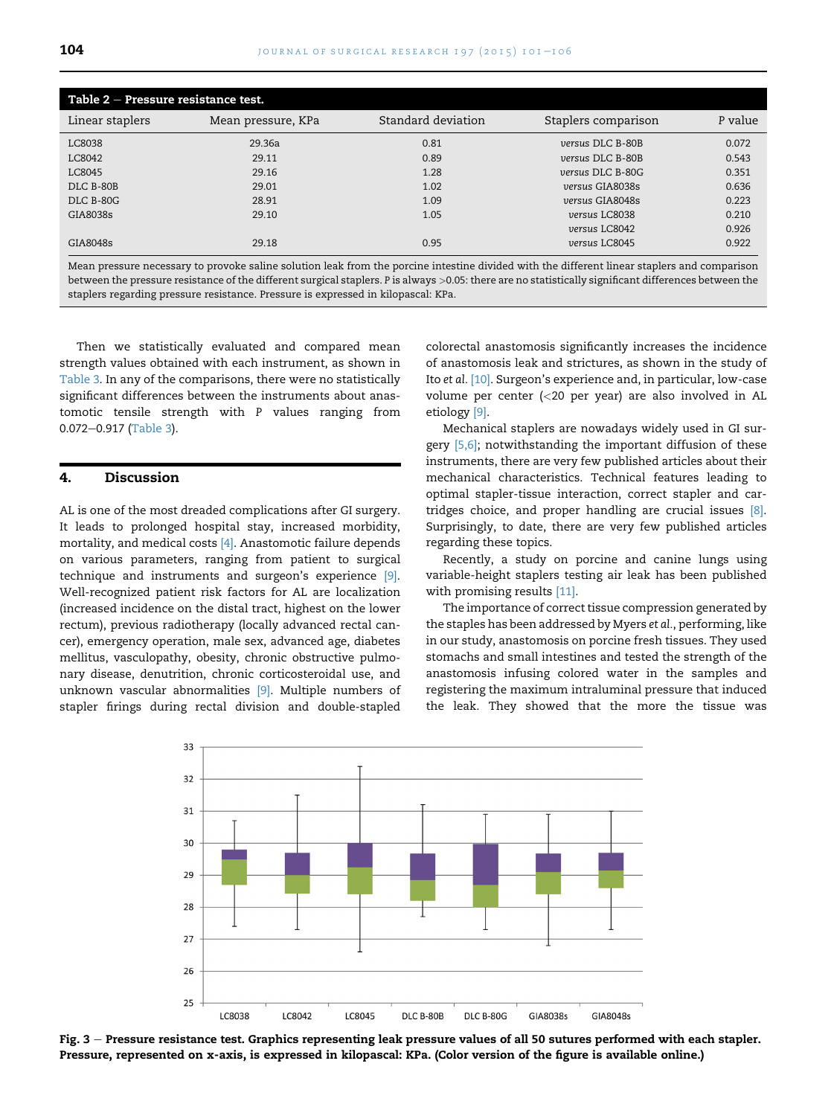<span id="page-3-0"></span>

| Table $2$ – Pressure resistance test. |                    |                    |                     |         |  |  |  |  |
|---------------------------------------|--------------------|--------------------|---------------------|---------|--|--|--|--|
| Linear staplers                       | Mean pressure, KPa | Standard deviation | Staplers comparison | P value |  |  |  |  |
| LC8038                                | 29.36a             | 0.81               | versus DLC B-80B    | 0.072   |  |  |  |  |
| LC8042                                | 29.11              | 0.89               | versus DLC B-80B    | 0.543   |  |  |  |  |
| LC8045                                | 29.16              | 1.28               | versus DLC B-80G    | 0.351   |  |  |  |  |
| DLC B-80B                             | 29.01              | 1.02               | versus GIA8038s     | 0.636   |  |  |  |  |
| DLC B-80G                             | 28.91              | 1.09               | versus GIA8048s     | 0.223   |  |  |  |  |
| GIA8038s                              | 29.10              | 1.05               | versus LC8038       | 0.210   |  |  |  |  |
|                                       |                    |                    | versus LC8042       | 0.926   |  |  |  |  |
| GIA8048s                              | 29.18              | 0.95               | versus LC8045       | 0.922   |  |  |  |  |

Mean pressure necessary to provoke saline solution leak from the porcine intestine divided with the different linear staplers and comparison between the pressure resistance of the different surgical staplers. P is always >0.05: there are no statistically significant differences between the staplers regarding pressure resistance. Pressure is expressed in kilopascal: KPa.

Then we statistically evaluated and compared mean strength values obtained with each instrument, as shown in [Table 3.](#page-4-0) In any of the comparisons, there were no statistically significant differences between the instruments about anastomotic tensile strength with P values ranging from 0.072-0.917 [\(Table 3](#page-4-0)).

#### 4. Discussion

AL is one of the most dreaded complications after GI surgery. It leads to prolonged hospital stay, increased morbidity, mortality, and medical costs [\[4\]](#page-5-0). Anastomotic failure depends on various parameters, ranging from patient to surgical technique and instruments and surgeon's experience [\[9\].](#page-5-0) Well-recognized patient risk factors for AL are localization (increased incidence on the distal tract, highest on the lower rectum), previous radiotherapy (locally advanced rectal cancer), emergency operation, male sex, advanced age, diabetes mellitus, vasculopathy, obesity, chronic obstructive pulmonary disease, denutrition, chronic corticosteroidal use, and unknown vascular abnormalities [\[9\].](#page-5-0) Multiple numbers of stapler firings during rectal division and double-stapled colorectal anastomosis significantly increases the incidence of anastomosis leak and strictures, as shown in the study of Ito et al. [\[10\]](#page-5-0). Surgeon's experience and, in particular, low-case volume per center (<20 per year) are also involved in AL etiology [\[9\]](#page-5-0).

Mechanical staplers are nowadays widely used in GI sur-gery [\[5,6\];](#page-5-0) notwithstanding the important diffusion of these instruments, there are very few published articles about their mechanical characteristics. Technical features leading to optimal stapler-tissue interaction, correct stapler and cartridges choice, and proper handling are crucial issues [\[8\].](#page-5-0) Surprisingly, to date, there are very few published articles regarding these topics.

Recently, a study on porcine and canine lungs using variable-height staplers testing air leak has been published with promising results [\[11\].](#page-5-0)

The importance of correct tissue compression generated by the staples has been addressed by Myers et al., performing, like in our study, anastomosis on porcine fresh tissues. They used stomachs and small intestines and tested the strength of the anastomosis infusing colored water in the samples and registering the maximum intraluminal pressure that induced the leak. They showed that the more the tissue was



Fig. 3 - Pressure resistance test. Graphics representing leak pressure values of all 50 sutures performed with each stapler. Pressure, represented on x-axis, is expressed in kilopascal: KPa. (Color version of the figure is available online.)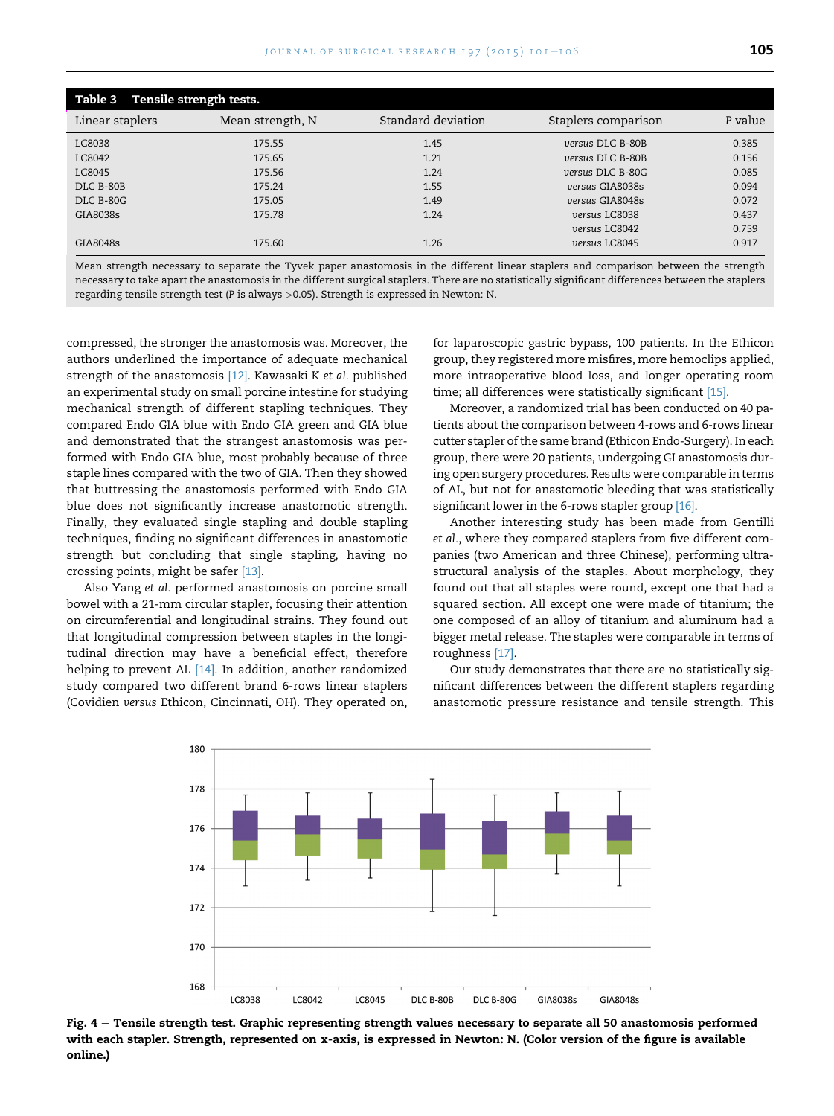<span id="page-4-0"></span>

| Table $3$ – Tensile strength tests. |                  |                    |                     |         |  |  |  |
|-------------------------------------|------------------|--------------------|---------------------|---------|--|--|--|
| Linear staplers                     | Mean strength, N | Standard deviation | Staplers comparison | P value |  |  |  |
| LC8038                              | 175.55           | 1.45               | versus DLC B-80B    | 0.385   |  |  |  |
| LC8042                              | 175.65           | 1.21               | versus DLC B-80B    | 0.156   |  |  |  |
| LC8045                              | 175.56           | 1.24               | versus DLC B-80G    | 0.085   |  |  |  |
| DLC B-80B                           | 175.24           | 1.55               | versus GIA8038s     | 0.094   |  |  |  |
| <b>DLC B-80G</b>                    | 175.05           | 1.49               | versus GIA8048s     | 0.072   |  |  |  |
| GIA8038s                            | 175.78           | 1.24               | versus LC8038       | 0.437   |  |  |  |
|                                     |                  |                    | versus LC8042       | 0.759   |  |  |  |
| GIA8048s                            | 175.60           | 1.26               | versus LC8045       | 0.917   |  |  |  |

Mean strength necessary to separate the Tyvek paper anastomosis in the different linear staplers and comparison between the strength necessary to take apart the anastomosis in the different surgical staplers. There are no statistically significant differences between the staplers regarding tensile strength test (P is always  $>0.05$ ). Strength is expressed in Newton: N.

compressed, the stronger the anastomosis was. Moreover, the authors underlined the importance of adequate mechanical strength of the anastomosis [\[12\].](#page-5-0) Kawasaki K et al. published an experimental study on small porcine intestine for studying mechanical strength of different stapling techniques. They compared Endo GIA blue with Endo GIA green and GIA blue and demonstrated that the strangest anastomosis was performed with Endo GIA blue, most probably because of three staple lines compared with the two of GIA. Then they showed that buttressing the anastomosis performed with Endo GIA blue does not significantly increase anastomotic strength. Finally, they evaluated single stapling and double stapling techniques, finding no significant differences in anastomotic strength but concluding that single stapling, having no crossing points, might be safer [\[13\]](#page-5-0).

Also Yang et al. performed anastomosis on porcine small bowel with a 21-mm circular stapler, focusing their attention on circumferential and longitudinal strains. They found out that longitudinal compression between staples in the longitudinal direction may have a beneficial effect, therefore helping to prevent AL [\[14\].](#page-5-0) In addition, another randomized study compared two different brand 6-rows linear staplers (Covidien versus Ethicon, Cincinnati, OH). They operated on, for laparoscopic gastric bypass, 100 patients. In the Ethicon group, they registered more misfires, more hemoclips applied, more intraoperative blood loss, and longer operating room time; all differences were statistically significant [\[15\].](#page-5-0)

Moreover, a randomized trial has been conducted on 40 patients about the comparison between 4-rows and 6-rows linear cutter stapler of the same brand (Ethicon Endo-Surgery). In each group, there were 20 patients, undergoing GI anastomosis during open surgery procedures. Results were comparable in terms of AL, but not for anastomotic bleeding that was statistically significant lower in the 6-rows stapler group [\[16\]](#page-5-0).

Another interesting study has been made from Gentilli et al., where they compared staplers from five different companies (two American and three Chinese), performing ultrastructural analysis of the staples. About morphology, they found out that all staples were round, except one that had a squared section. All except one were made of titanium; the one composed of an alloy of titanium and aluminum had a bigger metal release. The staples were comparable in terms of roughness [\[17\].](#page-5-0)

Our study demonstrates that there are no statistically significant differences between the different staplers regarding anastomotic pressure resistance and tensile strength. This



Fig. 4 - Tensile strength test. Graphic representing strength values necessary to separate all 50 anastomosis performed with each stapler. Strength, represented on x-axis, is expressed in Newton: N. (Color version of the figure is available online.)